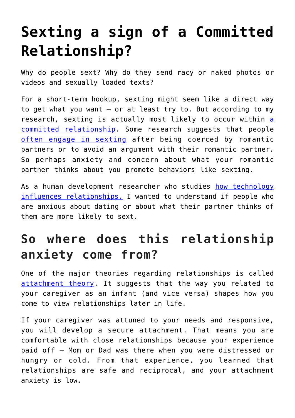## **[Sexting a sign of a Committed](https://intellectualtakeout.org/2016/09/sexting-a-sign-of-a-committed-relationship/) [Relationship?](https://intellectualtakeout.org/2016/09/sexting-a-sign-of-a-committed-relationship/)**

Why do people sext? Why do they send racy or naked photos or videos and sexually loaded texts?

For a short-term hookup, sexting might seem like a direct way to get what you want – or at least try to. But according to my rese[a](http://dx.doi.org/10.1016/j.chb.2011.02.008)rch, sexting is actually most likely to occur within a [committed relationship.](http://dx.doi.org/10.1016/j.chb.2011.02.008) Some research suggests that people [often engage in sexting](http://dx.doi.org/10.1016/j.chb.2015.04.001) after being coerced by romantic partners or to avoid an argument with their romantic partner. So perhaps anxiety and concern about what your romantic partner thinks about you promote behaviors like sexting.

As a human development researcher who studies [how technology](https://csumb.edu/directory/people/rob-weisskirch) [influences relationships,](https://csumb.edu/directory/people/rob-weisskirch) I wanted to understand if people who are anxious about dating or about what their partner thinks of them are more likely to sext.

## **So where does this relationship anxiety come from?**

One of the major theories regarding relationships is called [attachment theory](https://internal.psychology.illinois.edu/~rcfraley/attachment.htm). It suggests that the way you related to your caregiver as an infant (and vice versa) shapes how you come to view relationships later in life.

If your caregiver was attuned to your needs and responsive, you will develop a secure attachment. That means you are comfortable with close relationships because your experience paid off – Mom or Dad was there when you were distressed or hungry or cold. From that experience, you learned that relationships are safe and reciprocal, and your attachment anxiety is low.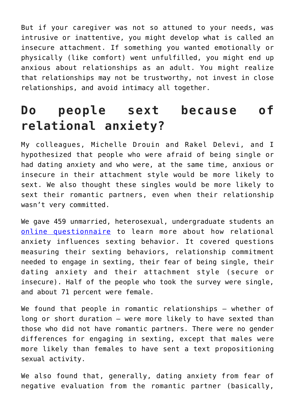But if your caregiver was not so attuned to your needs, was intrusive or inattentive, you might develop what is called an insecure attachment. If something you wanted emotionally or physically (like comfort) went unfulfilled, you might end up anxious about relationships as an adult. You might realize that relationships may not be trustworthy, not invest in close relationships, and avoid intimacy all together.

## **Do people sext because of relational anxiety?**

My colleagues, Michelle Drouin and Rakel Delevi, and I hypothesized that people who were afraid of being single or had dating anxiety and who were, at the same time, anxious or insecure in their attachment style would be more likely to sext. We also thought these singles would be more likely to sext their romantic partners, even when their relationship wasn't very committed.

We gave 459 unmarried, heterosexual, undergraduate students an [online questionnaire](http://www.tandfonline.com/doi/full/10.1080/00224499.2016.1181147#.V3vQZTkrKAw) to learn more about how relational anxiety influences sexting behavior. It covered questions measuring their sexting behaviors, relationship commitment needed to engage in sexting, their fear of being single, their dating anxiety and their attachment style (secure or insecure). Half of the people who took the survey were single, and about 71 percent were female.

We found that people in romantic relationships – whether of long or short duration – were more likely to have sexted than those who did not have romantic partners. There were no gender differences for engaging in sexting, except that males were more likely than females to have sent a text propositioning sexual activity.

We also found that, generally, dating anxiety from fear of negative evaluation from the romantic partner (basically,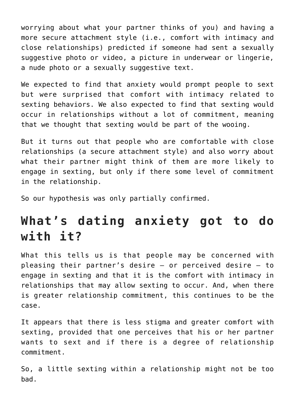worrying about what your partner thinks of you) and having a more secure attachment style (i.e., comfort with intimacy and close relationships) predicted if someone had sent a sexually suggestive photo or video, a picture in underwear or lingerie, a nude photo or a sexually suggestive text.

We expected to find that anxiety would prompt people to sext but were surprised that comfort with intimacy related to sexting behaviors. We also expected to find that sexting would occur in relationships without a lot of commitment, meaning that we thought that sexting would be part of the wooing.

But it turns out that people who are comfortable with close relationships (a secure attachment style) and also worry about what their partner might think of them are more likely to engage in sexting, but only if there some level of commitment in the relationship.

So our hypothesis was only partially confirmed.

## **What's dating anxiety got to do with it?**

What this tells us is that people may be concerned with pleasing their partner's desire – or perceived desire – to engage in sexting and that it is the comfort with intimacy in relationships that may allow sexting to occur. And, when there is greater relationship commitment, this continues to be the case.

It appears that there is less stigma and greater comfort with sexting, provided that one perceives that his or her partner wants to sext and if there is a degree of relationship commitment.

So, a little sexting within a relationship might not be too bad.